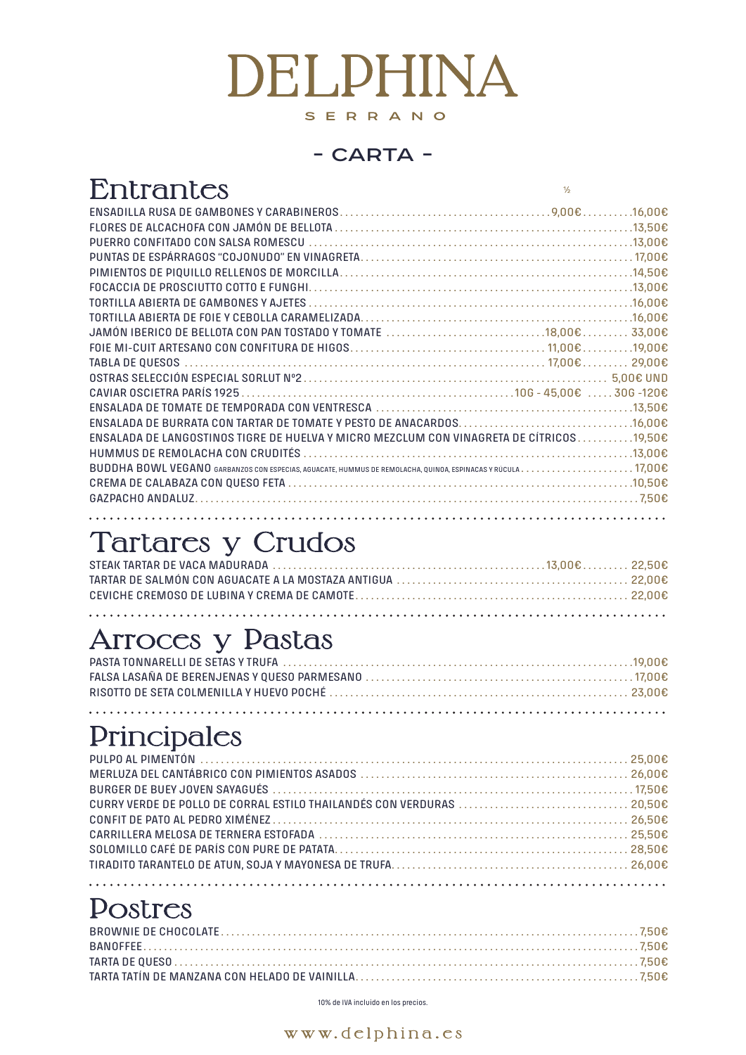10% de IVA incluido en los precios.

www.delphina.es

# Entrantes

ENSADILLA RUSA DE GAMBONES Y CARABINEROS . 9,00€ . 16,00€ FLORES DE ALCACHOFA CON JAMÓN DE BELLOTA . . . . . . . . . . . . . . . . . . . . . . . . . . . . . . . . . . . . . . . . . . . . . . . . . 13,50€ PUERRO CONFITADO CON SALSA ROMESCU . 13,00€ PUNTAS DE ESPÁRRAGOS "COJONUDO" EN VINAGRETA . . 17,00€ PIMIENTOS DE PIQUILLO RELLENOS DE MORCILLA . 14,50€ FOCACCIA DE PROSCIUTTO COTTO E FUNGHI . 13,00€ TORTILLA ABIERTA DE GAMBONES Y AJETES . 16,00€ TORTILLA ABIERTA DE FOIE Y CEBOLLA CARAMELIZADA . 16,00€ JAMÓN IBERICO DE BELLOTA CON PAN TOSTADO Y TOMATE  $\,\dots\, \dots\, \dots\, \dots\, \dots\, \dots\, \dots\, 18,00$ e  $\dots\, \dots\, \dots\, 33,00$ e FOIE MI-CUIT ARTESANO CON CONFITURA DE HIGOS . . 11,00€ . 19,00€ TABLA DE QUESOS . . 17,00€ . . 29,00€ OSTRAS SELECCIÓN ESPECIAL SORLUT Nº2 . . 5,00€ UND CAVIAR OSCIETRA PARÍS 1925 . 10G - 45,00€ . . 30G -120€ ENSALADA DE TOMATE DE TEMPORADA CON VENTRESCA . 13,50€ ENSALADA DE BURRATA CON TARTAR DE TOMATE Y PESTO DE ANACARDOS.  $\ldots$ ..................................16,00€ ENSALADA DE LANGOSTINOS TIGRE DE HUELVA Y MICRO MEZCLUM CON VINAGRETA DE CÍTRICOS  $\dots\dots\dots$ 19.50 $\bm{\epsilon}$ HUMMUS DE REMOLACHA CON CRUDITéS . 13,00€ BUDDHA BOWL VEGANO Garbanzos con especias, aguacate, hummus de remolacha, quinoa, espinacas <sup>y</sup> rúcula . . 17,00€ CREMA DE CALABAZA CON QUESO FETA  $\ldots$   $\ldots$   $\ldots$   $\ldots$   $\ldots$   $\ldots$   $\ldots$   $\ldots$   $\ldots$   $\ldots$   $\ldots$   $\ldots$   $\ldots$   $\ldots$   $\ldots$   $\ldots$   $\ldots$ GAZPACHO ANDALUZ . . 7,50€

# Tartares y Crudos

## Arroces y Pastas

# **Principales**

## Postres

# DEI DHINA SERRANO

#### - CARTA -

 $\frac{1}{2}$